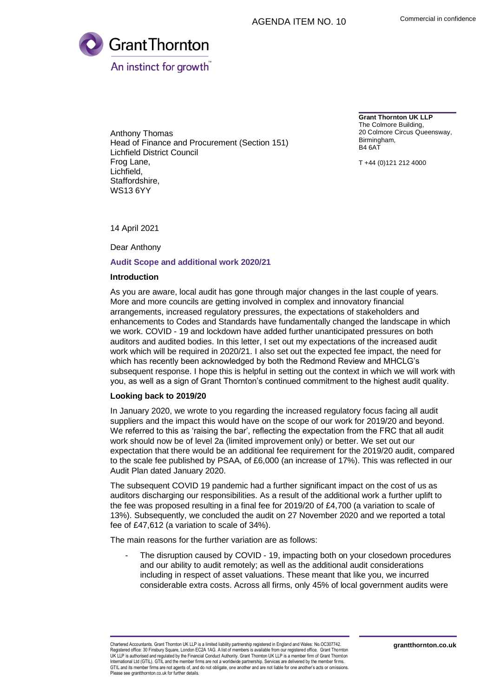

Anthony Thomas Head of Finance and Procurement (Section 151) Lichfield District Council Frog Lane, Lichfield, Staffordshire, WS13 6YY

**Grant Thornton UK LLP** The Colmore Building, 20 Colmore Circus Queensway, Birmingham, B4 6AT

T +44 (0)121 212 4000

14 April 2021

Dear Anthony

### **Audit Scope and additional work 2020/21**

## **Introduction**

As you are aware, local audit has gone through major changes in the last couple of years. More and more councils are getting involved in complex and innovatory financial arrangements, increased regulatory pressures, the expectations of stakeholders and enhancements to Codes and Standards have fundamentally changed the landscape in which we work. COVID - 19 and lockdown have added further unanticipated pressures on both auditors and audited bodies. In this letter, I set out my expectations of the increased audit work which will be required in 2020/21. I also set out the expected fee impact, the need for which has recently been acknowledged by both the Redmond Review and MHCLG's subsequent response. I hope this is helpful in setting out the context in which we will work with you, as well as a sign of Grant Thornton's continued commitment to the highest audit quality.

#### **Looking back to 2019/20**

In January 2020, we wrote to you regarding the increased regulatory focus facing all audit suppliers and the impact this would have on the scope of our work for 2019/20 and beyond. We referred to this as 'raising the bar', reflecting the expectation from the FRC that all audit work should now be of level 2a (limited improvement only) or better. We set out our expectation that there would be an additional fee requirement for the 2019/20 audit, compared to the scale fee published by PSAA, of £6,000 (an increase of 17%). This was reflected in our Audit Plan dated January 2020.

The subsequent COVID 19 pandemic had a further significant impact on the cost of us as auditors discharging our responsibilities. As a result of the additional work a further uplift to the fee was proposed resulting in a final fee for 2019/20 of £4,700 (a variation to scale of 13%). Subsequently, we concluded the audit on 27 November 2020 and we reported a total fee of £47,612 (a variation to scale of 34%).

The main reasons for the further variation are as follows:

The disruption caused by COVID - 19, impacting both on your closedown procedures and our ability to audit remotely; as well as the additional audit considerations including in respect of asset valuations. These meant that like you, we incurred considerable extra costs. Across all firms, only 45% of local government audits were

Chartered Accountants. Grant Thornton UK LLP is a limited liability partnership registered in England and Wales: No.OC307742. Registered office: 30 Finsbury Square, London EC2A 1AG. A list of members is available from our registered office. Grant Thornton UK LLP is authorised and regulated by the Financial Conduct Authority. Grant Thornton UK LLP is a member firm of Grant Thornton International Ltd (GTIL). GTIL and the member firms are not a worldwide partnership. Services are delivered by the member firms.<br>GTIL and its member firms are not agents of, and do not obligate, one another and are not lia Please see grantthornton.co.uk for further details.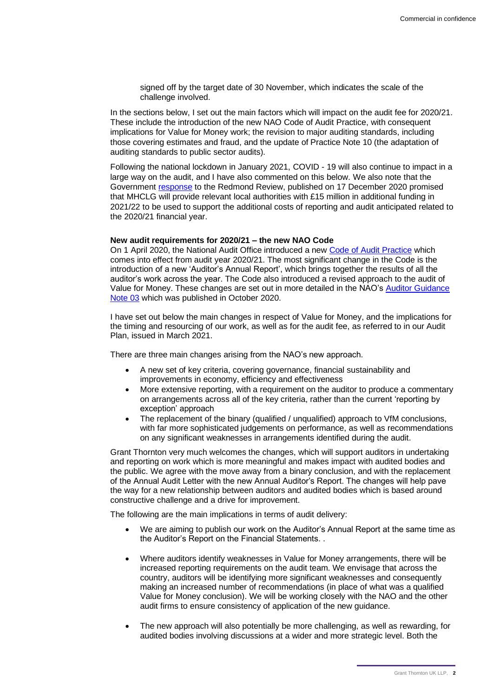signed off by the target date of 30 November, which indicates the scale of the challenge involved.

In the sections below, I set out the main factors which will impact on the audit fee for 2020/21. These include the introduction of the new NAO Code of Audit Practice, with consequent implications for Value for Money work; the revision to major auditing standards, including those covering estimates and fraud, and the update of Practice Note 10 (the adaptation of auditing standards to public sector audits).

Following the national lockdown in January 2021, COVID - 19 will also continue to impact in a large way on the audit, and I have also commented on this below. We also note that the Government [response](https://www.gov.uk/government/publications/local-authority-financial-reporting-and-external-audit-government-response-to-the-redmond-review) to the Redmond Review, published on 17 December 2020 promised that MHCLG will provide relevant local authorities with £15 million in additional funding in 2021/22 to be used to support the additional costs of reporting and audit anticipated related to the 2020/21 financial year.

#### **New audit requirements for 2020/21 – the new NAO Code**

On 1 April 2020, the National Audit Office introduced a new [Code of Audit Practice](https://www.nao.org.uk/code-audit-practice/wp-content/uploads/sites/29/2020/01/Code_of_audit_practice_2020.pdf) which comes into effect from audit year 2020/21. The most significant change in the Code is the introduction of a new 'Auditor's Annual Report', which brings together the results of all the auditor's work across the year. The Code also introduced a revised approach to the audit of Value for Money. These changes are set out in more detailed in the NAO's [Auditor Guidance](https://www.nao.org.uk/code-audit-practice/agn-03-vfm-consultation/)  [Note 03](https://www.nao.org.uk/code-audit-practice/agn-03-vfm-consultation/) which was published in October 2020.

I have set out below the main changes in respect of Value for Money, and the implications for the timing and resourcing of our work, as well as for the audit fee, as referred to in our Audit Plan, issued in March 2021.

There are three main changes arising from the NAO's new approach.

- A new set of key criteria, covering governance, financial sustainability and improvements in economy, efficiency and effectiveness
- More extensive reporting, with a requirement on the auditor to produce a commentary on arrangements across all of the key criteria, rather than the current 'reporting by exception' approach
- The replacement of the binary (qualified / unqualified) approach to VfM conclusions, with far more sophisticated judgements on performance, as well as recommendations on any significant weaknesses in arrangements identified during the audit.

Grant Thornton very much welcomes the changes, which will support auditors in undertaking and reporting on work which is more meaningful and makes impact with audited bodies and the public. We agree with the move away from a binary conclusion, and with the replacement of the Annual Audit Letter with the new Annual Auditor's Report. The changes will help pave the way for a new relationship between auditors and audited bodies which is based around constructive challenge and a drive for improvement.

The following are the main implications in terms of audit delivery:

- We are aiming to publish our work on the Auditor's Annual Report at the same time as the Auditor's Report on the Financial Statements. .
- Where auditors identify weaknesses in Value for Money arrangements, there will be increased reporting requirements on the audit team. We envisage that across the country, auditors will be identifying more significant weaknesses and consequently making an increased number of recommendations (in place of what was a qualified Value for Money conclusion). We will be working closely with the NAO and the other audit firms to ensure consistency of application of the new guidance.
- The new approach will also potentially be more challenging, as well as rewarding, for audited bodies involving discussions at a wider and more strategic level. Both the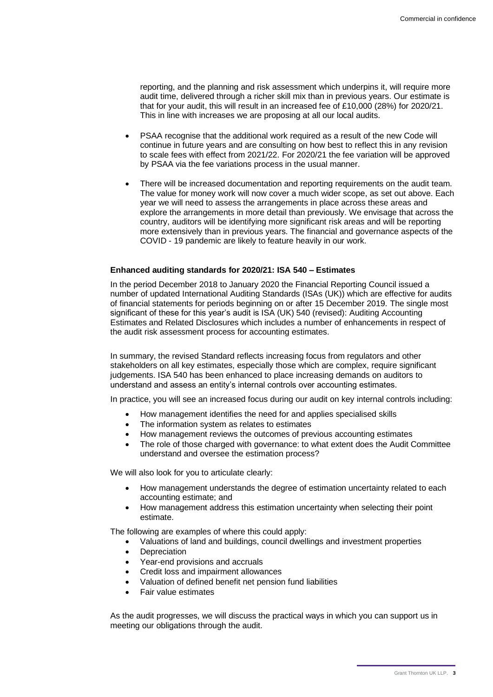reporting, and the planning and risk assessment which underpins it, will require more audit time, delivered through a richer skill mix than in previous years. Our estimate is that for your audit, this will result in an increased fee of £10,000 (28%) for 2020/21. This in line with increases we are proposing at all our local audits.

- PSAA recognise that the additional work required as a result of the new Code will continue in future years and are consulting on how best to reflect this in any revision to scale fees with effect from 2021/22. For 2020/21 the fee variation will be approved by PSAA via the fee variations process in the usual manner.
- There will be increased documentation and reporting requirements on the audit team. The value for money work will now cover a much wider scope, as set out above. Each year we will need to assess the arrangements in place across these areas and explore the arrangements in more detail than previously. We envisage that across the country, auditors will be identifying more significant risk areas and will be reporting more extensively than in previous years. The financial and governance aspects of the COVID - 19 pandemic are likely to feature heavily in our work.

# **Enhanced auditing standards for 2020/21: ISA 540 – Estimates**

In the period December 2018 to January 2020 the Financial Reporting Council issued a number of updated International Auditing Standards (ISAs (UK)) which are effective for audits of financial statements for periods beginning on or after 15 December 2019. The single most significant of these for this year's audit is ISA (UK) 540 (revised): Auditing Accounting Estimates and Related Disclosures which includes a number of enhancements in respect of the audit risk assessment process for accounting estimates.

In summary, the revised Standard reflects increasing focus from regulators and other stakeholders on all key estimates, especially those which are complex, require significant judgements. ISA 540 has been enhanced to place increasing demands on auditors to understand and assess an entity's internal controls over accounting estimates.

In practice, you will see an increased focus during our audit on key internal controls including:

- How management identifies the need for and applies specialised skills
- The information system as relates to estimates
- How management reviews the outcomes of previous accounting estimates
- The role of those charged with governance: to what extent does the Audit Committee understand and oversee the estimation process?

We will also look for you to articulate clearly:

- How management understands the degree of estimation uncertainty related to each accounting estimate; and
- How management address this estimation uncertainty when selecting their point estimate.

The following are examples of where this could apply:

- Valuations of land and buildings, council dwellings and investment properties
- **Depreciation**
- Year-end provisions and accruals
- Credit loss and impairment allowances
- Valuation of defined benefit net pension fund liabilities
- Fair value estimates

As the audit progresses, we will discuss the practical ways in which you can support us in meeting our obligations through the audit.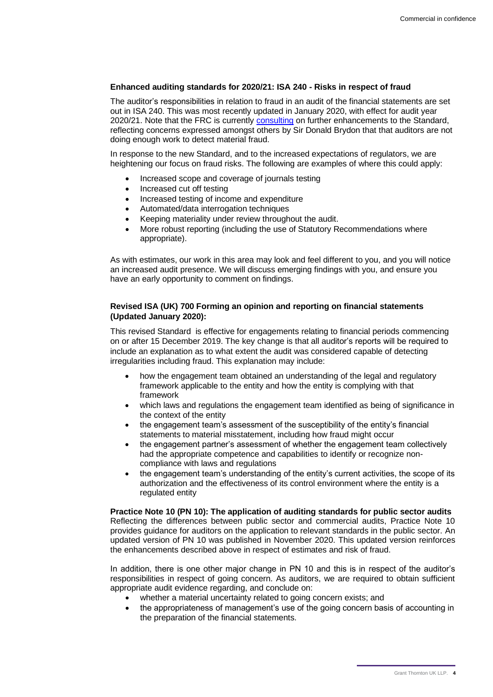# **Enhanced auditing standards for 2020/21: ISA 240 - Risks in respect of fraud**

The auditor's responsibilities in relation to fraud in an audit of the financial statements are set out in ISA 240. This was most recently updated in January 2020, with effect for audit year 2020/21. Note that the FRC is currently [consulting](https://www.frc.org.uk/news/october-2020/consultation-on-revised-auditing-standard-for-the) on further enhancements to the Standard, reflecting concerns expressed amongst others by Sir Donald Brydon that that auditors are not doing enough work to detect material fraud.

In response to the new Standard, and to the increased expectations of regulators, we are heightening our focus on fraud risks. The following are examples of where this could apply:

- Increased scope and coverage of journals testing
- Increased cut off testing
- Increased testing of income and expenditure
- Automated/data interrogation techniques
- Keeping materiality under review throughout the audit.
- More robust reporting (including the use of Statutory Recommendations where appropriate).

As with estimates, our work in this area may look and feel different to you, and you will notice an increased audit presence. We will discuss emerging findings with you, and ensure you have an early opportunity to comment on findings.

# **Revised ISA (UK) 700 Forming an opinion and reporting on financial statements (Updated January 2020):**

This revised Standard is effective for engagements relating to financial periods commencing on or after 15 December 2019. The key change is that all auditor's reports will be required to include an explanation as to what extent the audit was considered capable of detecting irregularities including fraud. This explanation may include:

- how the engagement team obtained an understanding of the legal and regulatory framework applicable to the entity and how the entity is complying with that framework
- which laws and regulations the engagement team identified as being of significance in the context of the entity
- the engagement team's assessment of the susceptibility of the entity's financial statements to material misstatement, including how fraud might occur
- the engagement partner's assessment of whether the engagement team collectively had the appropriate competence and capabilities to identify or recognize noncompliance with laws and regulations
- the engagement team's understanding of the entity's current activities, the scope of its authorization and the effectiveness of its control environment where the entity is a regulated entity

**Practice Note 10 (PN 10): The application of auditing standards for public sector audits**  Reflecting the differences between public sector and commercial audits, Practice Note 10 provides guidance for auditors on the application to relevant standards in the public sector. An updated version of PN 10 was published in November 2020. This updated version reinforces the enhancements described above in respect of estimates and risk of fraud.

In addition, there is one other major change in PN 10 and this is in respect of the auditor's responsibilities in respect of going concern. As auditors, we are required to obtain sufficient appropriate audit evidence regarding, and conclude on:

- whether a material uncertainty related to going concern exists; and
- the appropriateness of management's use of the going concern basis of accounting in the preparation of the financial statements.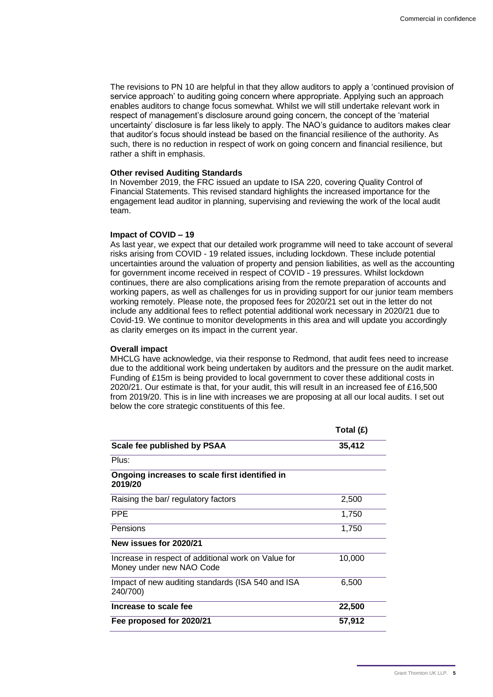The revisions to PN 10 are helpful in that they allow auditors to apply a 'continued provision of service approach' to auditing going concern where appropriate. Applying such an approach enables auditors to change focus somewhat. Whilst we will still undertake relevant work in respect of management's disclosure around going concern, the concept of the 'material uncertainty' disclosure is far less likely to apply. The NAO's guidance to auditors makes clear that auditor's focus should instead be based on the financial resilience of the authority. As such, there is no reduction in respect of work on going concern and financial resilience, but rather a shift in emphasis.

#### **Other revised Auditing Standards**

In November 2019, the FRC issued an update to ISA 220, covering Quality Control of Financial Statements. This revised standard highlights the increased importance for the engagement lead auditor in planning, supervising and reviewing the work of the local audit team.

### **Impact of COVID – 19**

As last year, we expect that our detailed work programme will need to take account of several risks arising from COVID - 19 related issues, including lockdown. These include potential uncertainties around the valuation of property and pension liabilities, as well as the accounting for government income received in respect of COVID - 19 pressures. Whilst lockdown continues, there are also complications arising from the remote preparation of accounts and working papers, as well as challenges for us in providing support for our junior team members working remotely. Please note, the proposed fees for 2020/21 set out in the letter do not include any additional fees to reflect potential additional work necessary in 2020/21 due to Covid-19. We continue to monitor developments in this area and will update you accordingly as clarity emerges on its impact in the current year.

### **Overall impact**

MHCLG have acknowledge, via their response to Redmond, that audit fees need to increase due to the additional work being undertaken by auditors and the pressure on the audit market. Funding of £15m is being provided to local government to cover these additional costs in 2020/21. Our estimate is that, for your audit, this will result in an increased fee of £16,500 from 2019/20. This is in line with increases we are proposing at all our local audits. I set out below the core strategic constituents of this fee.

|                                                                                 | Total $(E)$ |
|---------------------------------------------------------------------------------|-------------|
| Scale fee published by PSAA                                                     | 35,412      |
| Plus:                                                                           |             |
| Ongoing increases to scale first identified in<br>2019/20                       |             |
| Raising the bar/ regulatory factors                                             | 2,500       |
| <b>PPE</b>                                                                      | 1,750       |
| Pensions                                                                        | 1,750       |
| New issues for 2020/21                                                          |             |
| Increase in respect of additional work on Value for<br>Money under new NAO Code | 10,000      |
| Impact of new auditing standards (ISA 540 and ISA<br>240/700)                   | 6,500       |
| Increase to scale fee                                                           | 22,500      |
| Fee proposed for 2020/21                                                        | 57,912      |